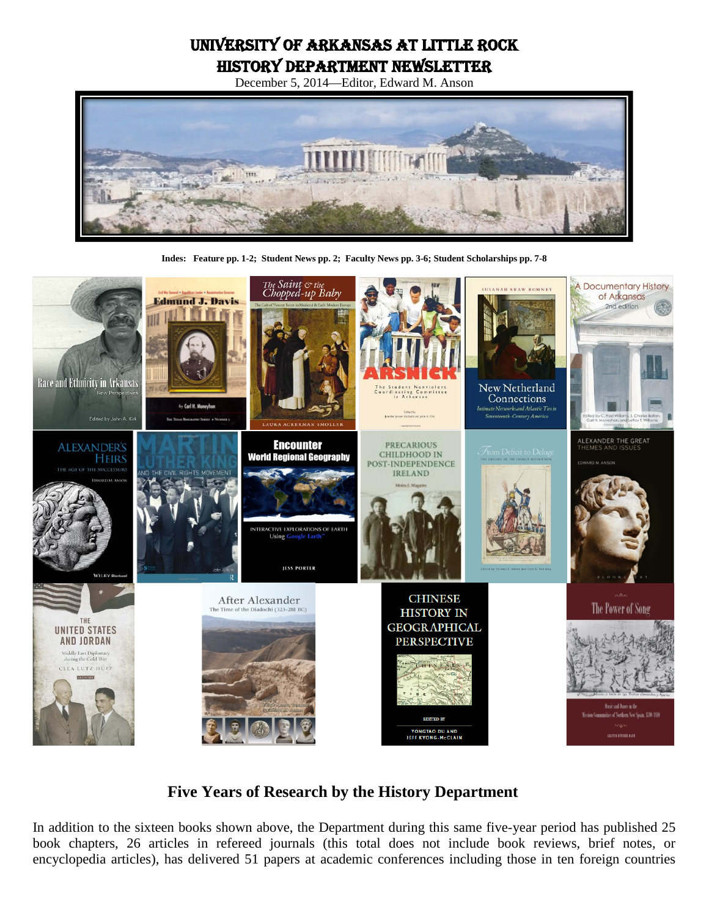# University of Arkansas at Little Rock History Department Newsletter

December 5, 2014—Editor, Edward M. Anson



**Indes: Feature pp. 1-2; Student News pp. 2; Faculty News pp. 3-6; Student Scholarships pp. 7-8**



# **Five Years of Research by the History Department**

In addition to the sixteen books shown above, the Department during this same five-year period has published 25 book chapters, 26 articles in refereed journals (this total does not include book reviews, brief notes, or encyclopedia articles), has delivered 51 papers at academic conferences including those in ten foreign countries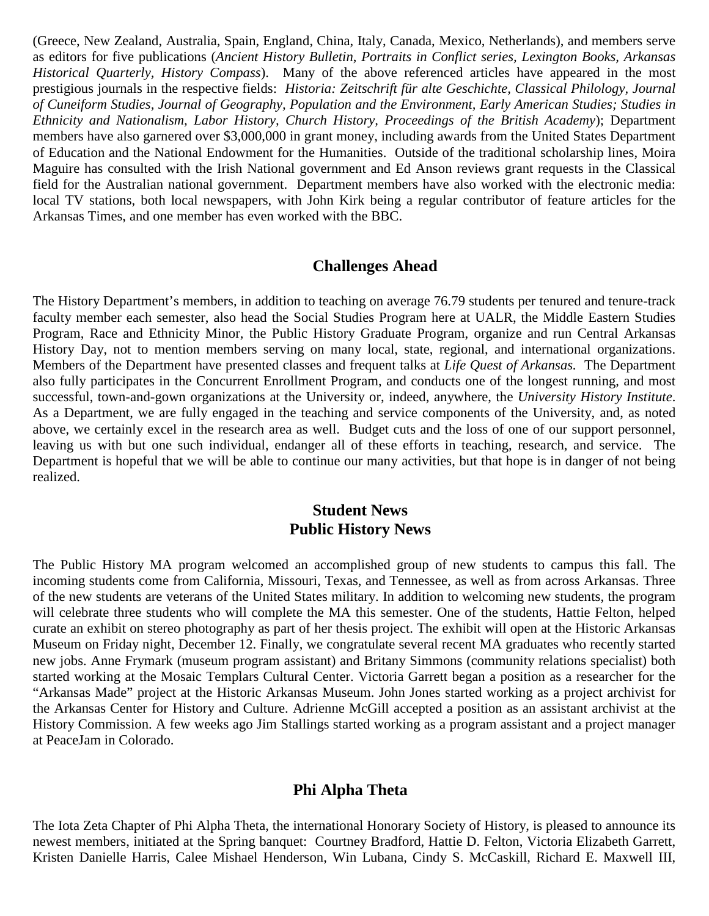(Greece, New Zealand, Australia, Spain, England, China, Italy, Canada, Mexico, Netherlands), and members serve as editors for five publications (*Ancient History Bulletin*, *Portraits in Conflict series, Lexington Books, Arkansas Historical Quarterly, History Compass*). Many of the above referenced articles have appeared in the most prestigious journals in the respective fields: *Historia: Zeitschrift für alte Geschichte, Classical Philology, Journal of Cuneiform Studies, Journal of Geography, Population and the Environment, Early American Studies; Studies in Ethnicity and Nationalism, Labor History, Church History, Proceedings of the British Academy*); Department members have also garnered over \$3,000,000 in grant money, including awards from the United States Department of Education and the National Endowment for the Humanities. Outside of the traditional scholarship lines, Moira Maguire has consulted with the Irish National government and Ed Anson reviews grant requests in the Classical field for the Australian national government. Department members have also worked with the electronic media: local TV stations, both local newspapers, with John Kirk being a regular contributor of feature articles for the Arkansas Times, and one member has even worked with the BBC.

#### **Challenges Ahead**

The History Department's members, in addition to teaching on average 76.79 students per tenured and tenure-track faculty member each semester, also head the Social Studies Program here at UALR, the Middle Eastern Studies Program, Race and Ethnicity Minor, the Public History Graduate Program, organize and run Central Arkansas History Day, not to mention members serving on many local, state, regional, and international organizations. Members of the Department have presented classes and frequent talks at *Life Quest of Arkansas.* The Department also fully participates in the Concurrent Enrollment Program, and conducts one of the longest running, and most successful, town-and-gown organizations at the University or, indeed, anywhere, the *University History Institute*. As a Department, we are fully engaged in the teaching and service components of the University, and, as noted above, we certainly excel in the research area as well. Budget cuts and the loss of one of our support personnel, leaving us with but one such individual, endanger all of these efforts in teaching, research, and service. The Department is hopeful that we will be able to continue our many activities, but that hope is in danger of not being realized.

# **Student News Public History News**

The Public History MA program welcomed an accomplished group of new students to campus this fall. The incoming students come from California, Missouri, Texas, and Tennessee, as well as from across Arkansas. Three of the new students are veterans of the United States military. In addition to welcoming new students, the program will celebrate three students who will complete the MA this semester. One of the students, Hattie Felton, helped curate an exhibit on stereo photography as part of her thesis project. The exhibit will open at the Historic Arkansas Museum on Friday night, December 12. Finally, we congratulate several recent MA graduates who recently started new jobs. Anne Frymark (museum program assistant) and Britany Simmons (community relations specialist) both started working at the Mosaic Templars Cultural Center. Victoria Garrett began a position as a researcher for the "Arkansas Made" project at the Historic Arkansas Museum. John Jones started working as a project archivist for the Arkansas Center for History and Culture. Adrienne McGill accepted a position as an assistant archivist at the History Commission. A few weeks ago Jim Stallings started working as a program assistant and a project manager at PeaceJam in Colorado.

# **Phi Alpha Theta**

The Iota Zeta Chapter of Phi Alpha Theta, the international Honorary Society of History, is pleased to announce its newest members, initiated at the Spring banquet: Courtney Bradford, Hattie D. Felton, Victoria Elizabeth Garrett, Kristen Danielle Harris, Calee Mishael Henderson, Win Lubana, Cindy S. McCaskill, Richard E. Maxwell III,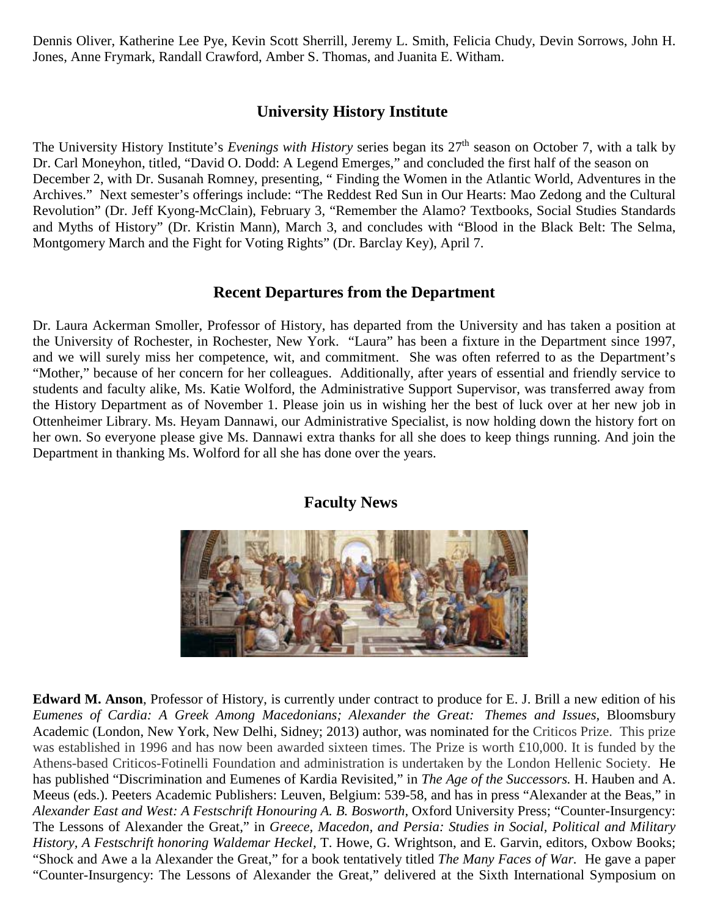Dennis Oliver, Katherine Lee Pye, Kevin Scott Sherrill, Jeremy L. Smith, Felicia Chudy, Devin Sorrows, John H. Jones, Anne Frymark, Randall Crawford, Amber S. Thomas, and Juanita E. Witham.

# **University History Institute**

The University History Institute's *Evenings with History* series began its 27th season on October 7, with a talk by Dr. Carl Moneyhon, titled, "David O. Dodd: A Legend Emerges," and concluded the first half of the season on December 2, with Dr. Susanah Romney, presenting, " Finding the Women in the Atlantic World, Adventures in the Archives." Next semester's offerings include: "The Reddest Red Sun in Our Hearts: Mao Zedong and the Cultural Revolution" (Dr. Jeff Kyong-McClain), February 3, "Remember the Alamo? Textbooks, Social Studies Standards and Myths of History" (Dr. Kristin Mann), March 3, and concludes with "Blood in the Black Belt: The Selma, Montgomery March and the Fight for Voting Rights" (Dr. Barclay Key), April 7.

### **Recent Departures from the Department**

Dr. Laura Ackerman Smoller, Professor of History, has departed from the University and has taken a position at the University of Rochester, in Rochester, New York. "Laura" has been a fixture in the Department since 1997, and we will surely miss her competence, wit, and commitment. She was often referred to as the Department's "Mother," because of her concern for her colleagues. Additionally, after years of essential and friendly service to students and faculty alike, Ms. Katie Wolford, the Administrative Support Supervisor, was transferred away from the History Department as of November 1. Please join us in wishing her the best of luck over at her new job in Ottenheimer Library. Ms. Heyam Dannawi, our Administrative Specialist, is now holding down the history fort on her own. So everyone please give Ms. Dannawi extra thanks for all she does to keep things running. And join the Department in thanking Ms. Wolford for all she has done over the years.



#### **Faculty News**

**Edward M. Anson**, Professor of History, is currently under contract to produce for E. J. Brill a new edition of his *Eumenes of Cardia: A Greek Among Macedonians; Alexander the Great: Themes and Issues*, Bloomsbury Academic (London, New York, New Delhi, Sidney; 2013) author, was nominated for the Criticos Prize. This prize was established in 1996 and has now been awarded sixteen times. The Prize is worth £10,000. It is funded by the Athens-based Criticos-Fotinelli Foundation and administration is undertaken by the London Hellenic Society. He has published "Discrimination and Eumenes of Kardia Revisited," in *The Age of the Successors.* H. Hauben and A. Meeus (eds.). Peeters Academic Publishers: Leuven, Belgium: 539-58, and has in press "Alexander at the Beas," in *Alexander East and West: A Festschrift Honouring A. B. Bosworth*, Oxford University Press; "Counter-Insurgency: The Lessons of Alexander the Great," in *Greece, Macedon, and Persia: Studies in Social, Political and Military History, A Festschrift honoring Waldemar Heckel,* T. Howe, G. Wrightson, and E. Garvin, editors, Oxbow Books; "Shock and Awe a la Alexander the Great," for a book tentatively titled *The Many Faces of War.* He gave a paper "Counter-Insurgency: The Lessons of Alexander the Great," delivered at the Sixth International Symposium on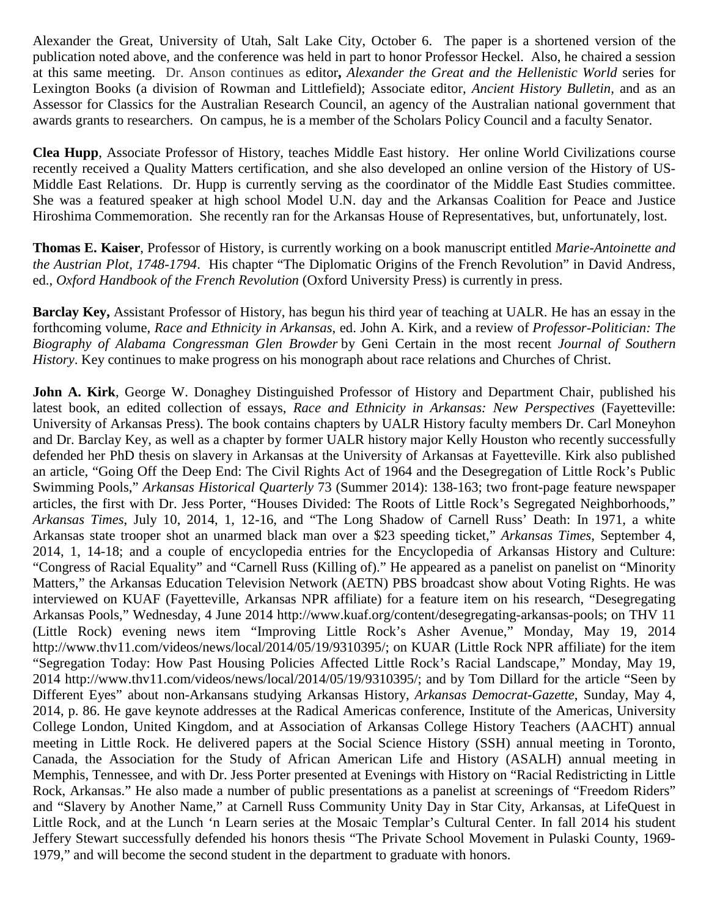Alexander the Great, University of Utah, Salt Lake City, October 6. The paper is a shortened version of the publication noted above, and the conference was held in part to honor Professor Heckel. Also, he chaired a session at this same meeting. Dr. Anson continues as editor**,** *Alexander the Great and the Hellenistic World* series for Lexington Books (a division of Rowman and Littlefield); Associate editor, *Ancient History Bulletin,* and as an Assessor for Classics for the Australian Research Council, an agency of the Australian national government that awards grants to researchers. On campus, he is a member of the Scholars Policy Council and a faculty Senator.

**Clea Hupp**, Associate Professor of History, teaches Middle East history. Her online World Civilizations course recently received a Quality Matters certification, and she also developed an online version of the History of US-Middle East Relations. Dr. Hupp is currently serving as the coordinator of the Middle East Studies committee. She was a featured speaker at high school Model U.N. day and the Arkansas Coalition for Peace and Justice Hiroshima Commemoration. She recently ran for the Arkansas House of Representatives, but, unfortunately, lost.

**Thomas E. Kaiser**, Professor of History, is currently working on a book manuscript entitled *Marie-Antoinette and the Austrian Plot, 1748-1794*. His chapter "The Diplomatic Origins of the French Revolution" in David Andress, ed., *Oxford Handbook of the French Revolution* (Oxford University Press) is currently in press.

**Barclay Key,** Assistant Professor of History, has begun his third year of teaching at UALR. He has an essay in the forthcoming volume, *Race and Ethnicity in Arkansas*, ed. John A. Kirk, and a review of *Professor-Politician: The Biography of Alabama Congressman Glen Browder* by Geni Certain in the most recent *Journal of Southern History*. Key continues to make progress on his monograph about race relations and Churches of Christ.

**John A. Kirk**, George W. Donaghey Distinguished Professor of History and Department Chair, published his latest book, an edited collection of essays, *Race and Ethnicity in Arkansas: New Perspectives* (Fayetteville: University of Arkansas Press). The book contains chapters by UALR History faculty members Dr. Carl Moneyhon and Dr. Barclay Key, as well as a chapter by former UALR history major Kelly Houston who recently successfully defended her PhD thesis on slavery in Arkansas at the University of Arkansas at Fayetteville. Kirk also published an article, "Going Off the Deep End: The Civil Rights Act of 1964 and the Desegregation of Little Rock's Public Swimming Pools," *Arkansas Historical Quarterly* 73 (Summer 2014): 138-163; two front-page feature newspaper articles, the first with Dr. Jess Porter, "Houses Divided: The Roots of Little Rock's Segregated Neighborhoods," *Arkansas Times*, July 10, 2014, 1, 12-16, and "The Long Shadow of Carnell Russ' Death: In 1971, a white Arkansas state trooper shot an unarmed black man over a \$23 speeding ticket," *Arkansas Times*, September 4, 2014, 1, 14-18; and a couple of encyclopedia entries for the Encyclopedia of Arkansas History and Culture: "Congress of Racial Equality" and "Carnell Russ (Killing of)." He appeared as a panelist on panelist on "Minority Matters," the Arkansas Education Television Network (AETN) PBS broadcast show about Voting Rights. He was interviewed on KUAF (Fayetteville, Arkansas NPR affiliate) for a feature item on his research, "Desegregating Arkansas Pools," Wednesday, 4 June 2014 http://www.kuaf.org/content/desegregating-arkansas-pools; on THV 11 (Little Rock) evening news item "Improving Little Rock's Asher Avenue," Monday, May 19, 2014 http://www.thv11.com/videos/news/local/2014/05/19/9310395/; on KUAR (Little Rock NPR affiliate) for the item "Segregation Today: How Past Housing Policies Affected Little Rock's Racial Landscape," Monday, May 19, 2014 http://www.thv11.com/videos/news/local/2014/05/19/9310395/; and by Tom Dillard for the article "Seen by Different Eyes" about non-Arkansans studying Arkansas History, *Arkansas Democrat-Gazette*, Sunday, May 4, 2014, p. 86. He gave keynote addresses at the Radical Americas conference, Institute of the Americas, University College London, United Kingdom, and at Association of Arkansas College History Teachers (AACHT) annual meeting in Little Rock. He delivered papers at the Social Science History (SSH) annual meeting in Toronto, Canada, the Association for the Study of African American Life and History (ASALH) annual meeting in Memphis, Tennessee, and with Dr. Jess Porter presented at Evenings with History on "Racial Redistricting in Little Rock, Arkansas." He also made a number of public presentations as a panelist at screenings of "Freedom Riders" and "Slavery by Another Name," at Carnell Russ Community Unity Day in Star City, Arkansas, at LifeQuest in Little Rock, and at the Lunch 'n Learn series at the Mosaic Templar's Cultural Center. In fall 2014 his student Jeffery Stewart successfully defended his honors thesis "The Private School Movement in Pulaski County, 1969- 1979," and will become the second student in the department to graduate with honors.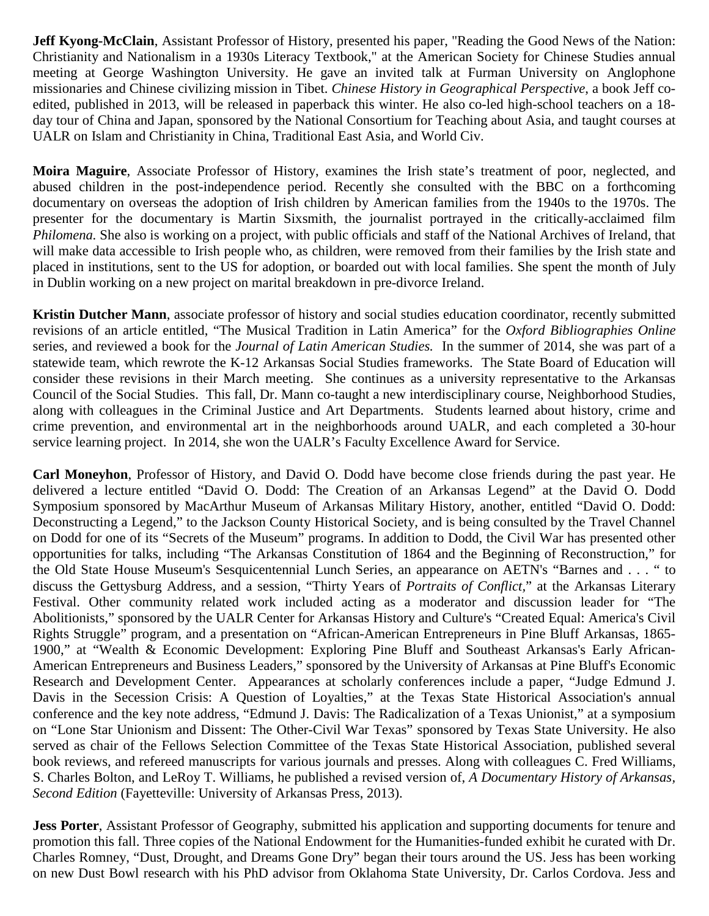**Jeff Kyong-McClain**, Assistant Professor of History, presented his paper, "Reading the Good News of the Nation: Christianity and Nationalism in a 1930s Literacy Textbook," at the American Society for Chinese Studies annual meeting at George Washington University. He gave an invited talk at Furman University on Anglophone missionaries and Chinese civilizing mission in Tibet. *Chinese History in Geographical Perspective*, a book Jeff coedited, published in 2013, will be released in paperback this winter. He also co-led high-school teachers on a 18 day tour of China and Japan, sponsored by the National Consortium for Teaching about Asia, and taught courses at UALR on Islam and Christianity in China, Traditional East Asia, and World Civ.

**Moira Maguire**, Associate Professor of History, examines the Irish state's treatment of poor, neglected, and abused children in the post-independence period. Recently she consulted with the BBC on a forthcoming documentary on overseas the adoption of Irish children by American families from the 1940s to the 1970s. The presenter for the documentary is Martin Sixsmith, the journalist portrayed in the critically-acclaimed film *Philomena.* She also is working on a project, with public officials and staff of the National Archives of Ireland, that will make data accessible to Irish people who, as children, were removed from their families by the Irish state and placed in institutions, sent to the US for adoption, or boarded out with local families. She spent the month of July in Dublin working on a new project on marital breakdown in pre-divorce Ireland.

**Kristin Dutcher Mann**, associate professor of history and social studies education coordinator, recently submitted revisions of an article entitled, "The Musical Tradition in Latin America" for the *Oxford Bibliographies Online*  series, and reviewed a book for the *Journal of Latin American Studies.* In the summer of 2014, she was part of a statewide team, which rewrote the K-12 Arkansas Social Studies frameworks. The State Board of Education will consider these revisions in their March meeting. She continues as a university representative to the Arkansas Council of the Social Studies. This fall, Dr. Mann co-taught a new interdisciplinary course, Neighborhood Studies, along with colleagues in the Criminal Justice and Art Departments. Students learned about history, crime and crime prevention, and environmental art in the neighborhoods around UALR, and each completed a 30-hour service learning project. In 2014, she won the UALR's Faculty Excellence Award for Service.

**Carl Moneyhon**, Professor of History, and David O. Dodd have become close friends during the past year. He delivered a lecture entitled "David O. Dodd: The Creation of an Arkansas Legend" at the David O. Dodd Symposium sponsored by MacArthur Museum of Arkansas Military History, another, entitled "David O. Dodd: Deconstructing a Legend," to the Jackson County Historical Society, and is being consulted by the Travel Channel on Dodd for one of its "Secrets of the Museum" programs. In addition to Dodd, the Civil War has presented other opportunities for talks, including "The Arkansas Constitution of 1864 and the Beginning of Reconstruction," for the Old State House Museum's Sesquicentennial Lunch Series, an appearance on AETN's "Barnes and . . . " to discuss the Gettysburg Address, and a session, "Thirty Years of *Portraits of Conflict,*" at the Arkansas Literary Festival. Other community related work included acting as a moderator and discussion leader for "The Abolitionists," sponsored by the UALR Center for Arkansas History and Culture's "Created Equal: America's Civil Rights Struggle" program, and a presentation on "African-American Entrepreneurs in Pine Bluff Arkansas, 1865- 1900," at "Wealth & Economic Development: Exploring Pine Bluff and Southeast Arkansas's Early African-American Entrepreneurs and Business Leaders," sponsored by the University of Arkansas at Pine Bluff's Economic Research and Development Center. Appearances at scholarly conferences include a paper, "Judge Edmund J. Davis in the Secession Crisis: A Question of Loyalties," at the Texas State Historical Association's annual conference and the key note address, "Edmund J. Davis: The Radicalization of a Texas Unionist," at a symposium on "Lone Star Unionism and Dissent: The Other-Civil War Texas" sponsored by Texas State University. He also served as chair of the Fellows Selection Committee of the Texas State Historical Association, published several book reviews, and refereed manuscripts for various journals and presses. Along with colleagues C. Fred Williams, S. Charles Bolton, and LeRoy T. Williams, he published a revised version of, *A Documentary History of Arkansas, Second Edition* (Fayetteville: University of Arkansas Press, 2013).

**Jess Porter**, Assistant Professor of Geography, submitted his application and supporting documents for tenure and promotion this fall. Three copies of the National Endowment for the Humanities-funded exhibit he curated with Dr. Charles Romney, "Dust, Drought, and Dreams Gone Dry" began their tours around the US. Jess has been working on new Dust Bowl research with his PhD advisor from Oklahoma State University, Dr. Carlos Cordova. Jess and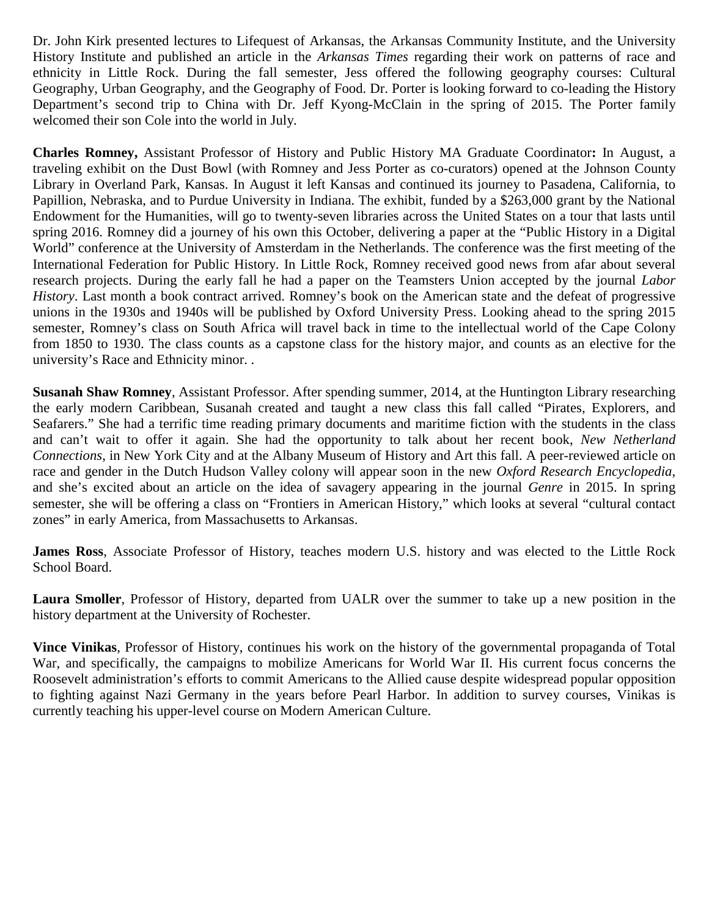Dr. John Kirk presented lectures to Lifequest of Arkansas, the Arkansas Community Institute, and the University History Institute and published an article in the *Arkansas Times* regarding their work on patterns of race and ethnicity in Little Rock. During the fall semester, Jess offered the following geography courses: Cultural Geography, Urban Geography, and the Geography of Food. Dr. Porter is looking forward to co-leading the History Department's second trip to China with Dr. Jeff Kyong-McClain in the spring of 2015. The Porter family welcomed their son Cole into the world in July.

**Charles Romney,** Assistant Professor of History and Public History MA Graduate Coordinator**:** In August, a traveling exhibit on the Dust Bowl (with Romney and Jess Porter as co-curators) opened at the Johnson County Library in Overland Park, Kansas. In August it left Kansas and continued its journey to Pasadena, California, to Papillion, Nebraska, and to Purdue University in Indiana. The exhibit, funded by a \$263,000 grant by the National Endowment for the Humanities, will go to twenty-seven libraries across the United States on a tour that lasts until spring 2016. Romney did a journey of his own this October, delivering a paper at the "Public History in a Digital World" conference at the University of Amsterdam in the Netherlands. The conference was the first meeting of the International Federation for Public History. In Little Rock, Romney received good news from afar about several research projects. During the early fall he had a paper on the Teamsters Union accepted by the journal *Labor History*. Last month a book contract arrived. Romney's book on the American state and the defeat of progressive unions in the 1930s and 1940s will be published by Oxford University Press. Looking ahead to the spring 2015 semester, Romney's class on South Africa will travel back in time to the intellectual world of the Cape Colony from 1850 to 1930. The class counts as a capstone class for the history major, and counts as an elective for the university's Race and Ethnicity minor. .

**Susanah Shaw Romney**, Assistant Professor. After spending summer, 2014, at the Huntington Library researching the early modern Caribbean, Susanah created and taught a new class this fall called "Pirates, Explorers, and Seafarers." She had a terrific time reading primary documents and maritime fiction with the students in the class and can't wait to offer it again. She had the opportunity to talk about her recent book, *New Netherland Connections*, in New York City and at the Albany Museum of History and Art this fall. A peer-reviewed article on race and gender in the Dutch Hudson Valley colony will appear soon in the new *Oxford Research Encyclopedia*, and she's excited about an article on the idea of savagery appearing in the journal *Genre* in 2015. In spring semester, she will be offering a class on "Frontiers in American History," which looks at several "cultural contact zones" in early America, from Massachusetts to Arkansas.

**James Ross**, Associate Professor of History, teaches modern U.S. history and was elected to the Little Rock School Board.

**Laura Smoller**, Professor of History, departed from UALR over the summer to take up a new position in the history department at the University of Rochester.

**Vince Vinikas**, Professor of History, continues his work on the history of the governmental propaganda of Total War, and specifically, the campaigns to mobilize Americans for World War II. His current focus concerns the Roosevelt administration's efforts to commit Americans to the Allied cause despite widespread popular opposition to fighting against Nazi Germany in the years before Pearl Harbor. In addition to survey courses, Vinikas is currently teaching his upper-level course on Modern American Culture.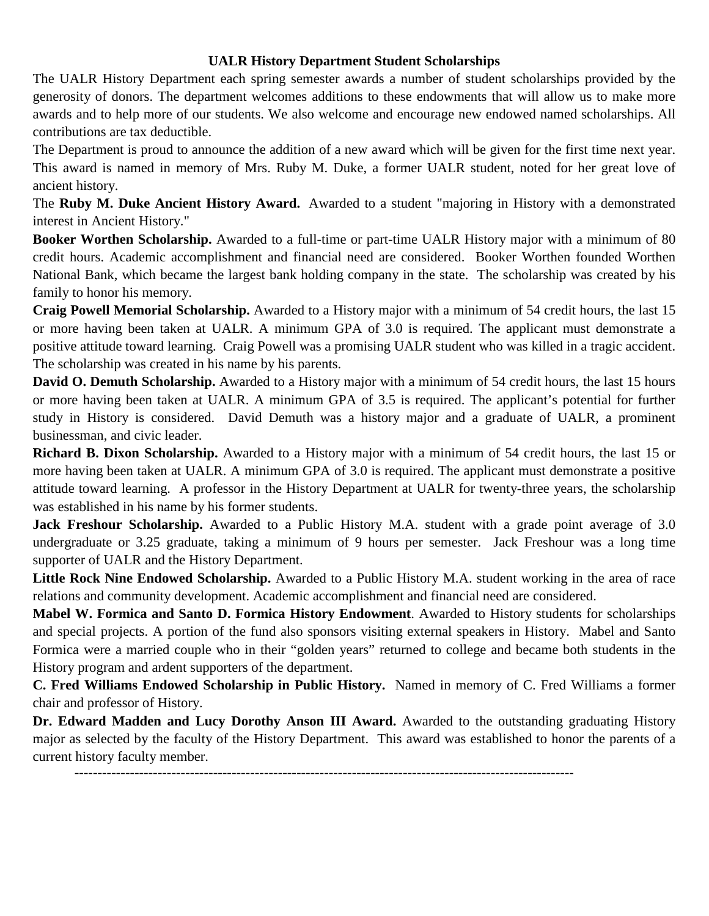#### **UALR History Department Student Scholarships**

The UALR History Department each spring semester awards a number of student scholarships provided by the generosity of donors. The department welcomes additions to these endowments that will allow us to make more awards and to help more of our students. We also welcome and encourage new endowed named scholarships. All contributions are tax deductible.

The Department is proud to announce the addition of a new award which will be given for the first time next year. This award is named in memory of Mrs. Ruby M. Duke, a former UALR student, noted for her great love of ancient history.

The **Ruby M. Duke Ancient History Award.** Awarded to a student "majoring in History with a demonstrated interest in Ancient History."

**Booker Worthen Scholarship.** Awarded to a full-time or part-time UALR History major with a minimum of 80 credit hours. Academic accomplishment and financial need are considered. Booker Worthen founded Worthen National Bank, which became the largest bank holding company in the state. The scholarship was created by his family to honor his memory.

**Craig Powell Memorial Scholarship.** Awarded to a History major with a minimum of 54 credit hours, the last 15 or more having been taken at UALR. A minimum GPA of 3.0 is required. The applicant must demonstrate a positive attitude toward learning. Craig Powell was a promising UALR student who was killed in a tragic accident. The scholarship was created in his name by his parents.

**David O. Demuth Scholarship.** Awarded to a History major with a minimum of 54 credit hours, the last 15 hours or more having been taken at UALR. A minimum GPA of 3.5 is required. The applicant's potential for further study in History is considered. David Demuth was a history major and a graduate of UALR, a prominent businessman, and civic leader.

**Richard B. Dixon Scholarship.** Awarded to a History major with a minimum of 54 credit hours, the last 15 or more having been taken at UALR. A minimum GPA of 3.0 is required. The applicant must demonstrate a positive attitude toward learning. A professor in the History Department at UALR for twenty-three years, the scholarship was established in his name by his former students.

**Jack Freshour Scholarship.** Awarded to a Public History M.A. student with a grade point average of 3.0 undergraduate or 3.25 graduate, taking a minimum of 9 hours per semester. Jack Freshour was a long time supporter of UALR and the History Department.

**Little Rock Nine Endowed Scholarship.** Awarded to a Public History M.A. student working in the area of race relations and community development. Academic accomplishment and financial need are considered.

**Mabel W. Formica and Santo D. Formica History Endowment**. Awarded to History students for scholarships and special projects. A portion of the fund also sponsors visiting external speakers in History. Mabel and Santo Formica were a married couple who in their "golden years" returned to college and became both students in the History program and ardent supporters of the department.

**C. Fred Williams Endowed Scholarship in Public History.** Named in memory of C. Fred Williams a former chair and professor of History.

Dr. Edward Madden and Lucy Dorothy Anson III Award. Awarded to the outstanding graduating History major as selected by the faculty of the History Department. This award was established to honor the parents of a current history faculty member.

------------------------------------------------------------------------------------------------------------